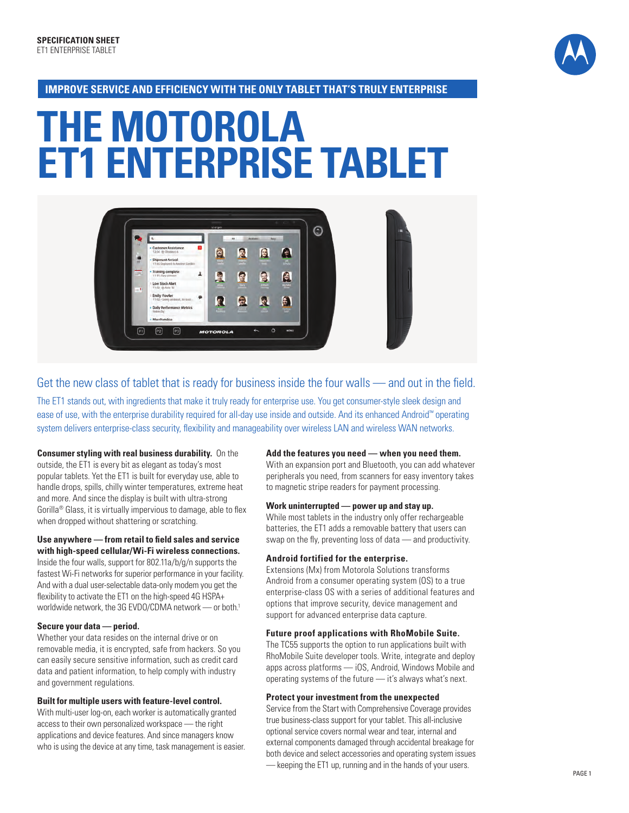

#### **Improve se rvice and efficiency with the only tablet THAT 'S truly enterprise**

# **The Motorola et1 enterprise tablet**



Get the new class of tablet that is ready for business inside the four walls — and out in the field.

The ET1 stands out, with ingredients that make it truly ready for enterprise use. You get consumer-style sleek design and ease of use, with the enterprise durability required for all-day use inside and outside. And its enhanced Android™ operating system delivers enterprise-class security, flexibility and manageability over wireless LAN and wireless WAN networks.

**Consumer styling with real business durability.** On the outside, the ET1 is every bit as elegant as today's most popular tablets. Yet the ET1 is built for everyday use, able to handle drops, spills, chilly winter temperatures, extreme heat and more. And since the display is built with ultra-strong Gorilla® Glass, it is virtually impervious to damage, able to flex when dropped without shattering or scratching.

#### **Use anywhere — from retail to field sales and service with high-speed cellular/Wi-Fi wireless connections.**

Inside the four walls, support for 802.11a/b/g/n supports the fastest Wi-Fi networks for superior performance in your facility. And with a dual user-selectable data-only modem you get the flexibility to activate the ET1 on the high-speed 4G HSPA+ worldwide network, the 3G EVDO/CDMA network — or both.<sup>1</sup>

#### **Secure your data — period.**

Whether your data resides on the internal drive or on removable media, it is encrypted, safe from hackers. So you can easily secure sensitive information, such as credit card data and patient information, to help comply with industry and government regulations.

#### **Built for multiple users with feature-level control.**

With multi-user log-on, each worker is automatically granted access to their own personalized workspace — the right applications and device features. And since managers know who is using the device at any time, task management is easier.

#### **Add the features you need — when you need them.**

With an expansion port and Bluetooth, you can add whatever peripherals you need, from scanners for easy inventory takes to magnetic stripe readers for payment processing.

#### **Work uninterrupted — power up and stay up.**

While most tablets in the industry only offer rechargeable batteries, the ET1 adds a removable battery that users can swap on the fly, preventing loss of data — and productivity.

#### **Android fortified for the enterprise.**

Extensions (Mx) from Motorola Solutions transforms Android from a consumer operating system (OS) to a true enterprise-class OS with a series of additional features and options that improve security, device management and support for advanced enterprise data capture.

#### **Future proof applications with RhoMobile Suite.**

The TC55 supports the option to run applications built with RhoMobile Suite developer tools. Write, integrate and deploy apps across platforms — iOS, Android, Windows Mobile and operating systems of the future — it's always what's next.

#### **Protect your investment from the unexpected**

Service from the Start with Comprehensive Coverage provides true business-class support for your tablet. This all-inclusive optional service covers normal wear and tear, internal and external components damaged through accidental breakage for both device and select accessories and operating system issues — keeping the ET1 up, running and in the hands of your users.